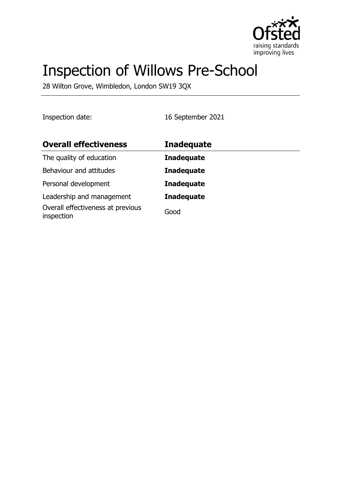

# Inspection of Willows Pre-School

28 Wilton Grove, Wimbledon, London SW19 3QX

Inspection date: 16 September 2021

| <b>Overall effectiveness</b>                    | <b>Inadequate</b> |
|-------------------------------------------------|-------------------|
| The quality of education                        | <b>Inadequate</b> |
| Behaviour and attitudes                         | <b>Inadequate</b> |
| Personal development                            | <b>Inadequate</b> |
| Leadership and management                       | <b>Inadequate</b> |
| Overall effectiveness at previous<br>inspection | Good              |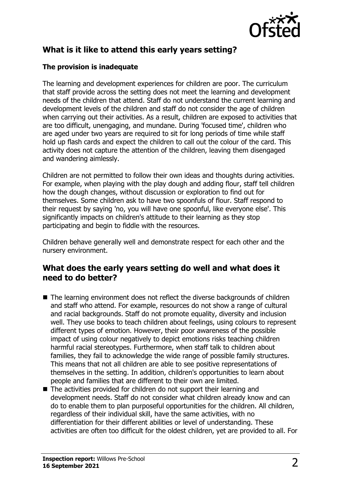

# **What is it like to attend this early years setting?**

#### **The provision is inadequate**

The learning and development experiences for children are poor. The curriculum that staff provide across the setting does not meet the learning and development needs of the children that attend. Staff do not understand the current learning and development levels of the children and staff do not consider the age of children when carrying out their activities. As a result, children are exposed to activities that are too difficult, unengaging, and mundane. During 'focused time', children who are aged under two years are required to sit for long periods of time while staff hold up flash cards and expect the children to call out the colour of the card. This activity does not capture the attention of the children, leaving them disengaged and wandering aimlessly.

Children are not permitted to follow their own ideas and thoughts during activities. For example, when playing with the play dough and adding flour, staff tell children how the dough changes, without discussion or exploration to find out for themselves. Some children ask to have two spoonfuls of flour. Staff respond to their request by saying 'no, you will have one spoonful, like everyone else'. This significantly impacts on children's attitude to their learning as they stop participating and begin to fiddle with the resources.

Children behave generally well and demonstrate respect for each other and the nursery environment.

#### **What does the early years setting do well and what does it need to do better?**

- The learning environment does not reflect the diverse backgrounds of children and staff who attend. For example, resources do not show a range of cultural and racial backgrounds. Staff do not promote equality, diversity and inclusion well. They use books to teach children about feelings, using colours to represent different types of emotion. However, their poor awareness of the possible impact of using colour negatively to depict emotions risks teaching children harmful racial stereotypes. Furthermore, when staff talk to children about families, they fail to acknowledge the wide range of possible family structures. This means that not all children are able to see positive representations of themselves in the setting. In addition, children's opportunities to learn about people and families that are different to their own are limited.
- $\blacksquare$  The activities provided for children do not support their learning and development needs. Staff do not consider what children already know and can do to enable them to plan purposeful opportunities for the children. All children, regardless of their individual skill, have the same activities, with no differentiation for their different abilities or level of understanding. These activities are often too difficult for the oldest children, yet are provided to all. For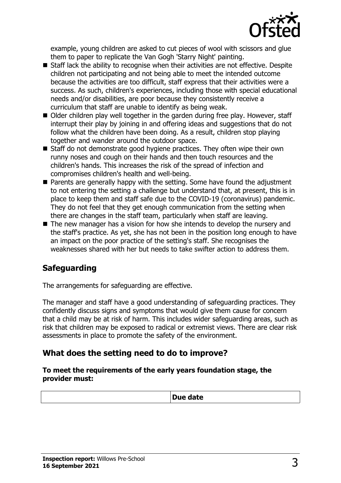

example, young children are asked to cut pieces of wool with scissors and glue them to paper to replicate the Van Gogh 'Starry Night' painting.

- $\blacksquare$  Staff lack the ability to recognise when their activities are not effective. Despite children not participating and not being able to meet the intended outcome because the activities are too difficult, staff express that their activities were a success. As such, children's experiences, including those with special educational needs and/or disabilities, are poor because they consistently receive a curriculum that staff are unable to identify as being weak.
- Older children play well together in the garden during free play. However, staff interrupt their play by joining in and offering ideas and suggestions that do not follow what the children have been doing. As a result, children stop playing together and wander around the outdoor space.
- $\blacksquare$  Staff do not demonstrate good hygiene practices. They often wipe their own runny noses and cough on their hands and then touch resources and the children's hands. This increases the risk of the spread of infection and compromises children's health and well-being.
- $\blacksquare$  Parents are generally happy with the setting. Some have found the adjustment to not entering the setting a challenge but understand that, at present, this is in place to keep them and staff safe due to the COVID-19 (coronavirus) pandemic. They do not feel that they get enough communication from the setting when there are changes in the staff team, particularly when staff are leaving.
- $\blacksquare$  The new manager has a vision for how she intends to develop the nursery and the staff's practice. As yet, she has not been in the position long enough to have an impact on the poor practice of the setting's staff. She recognises the weaknesses shared with her but needs to take swifter action to address them.

# **Safeguarding**

The arrangements for safeguarding are effective.

The manager and staff have a good understanding of safeguarding practices. They confidently discuss signs and symptoms that would give them cause for concern that a child may be at risk of harm. This includes wider safeguarding areas, such as risk that children may be exposed to radical or extremist views. There are clear risk assessments in place to promote the safety of the environment.

## **What does the setting need to do to improve?**

#### **To meet the requirements of the early years foundation stage, the provider must:**

| Due date |
|----------|
|          |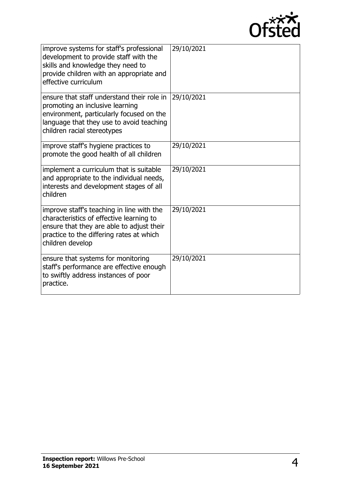

| improve systems for staff's professional<br>development to provide staff with the<br>skills and knowledge they need to<br>provide children with an appropriate and<br>effective curriculum           | 29/10/2021 |
|------------------------------------------------------------------------------------------------------------------------------------------------------------------------------------------------------|------------|
| ensure that staff understand their role in<br>promoting an inclusive learning<br>environment, particularly focused on the<br>language that they use to avoid teaching<br>children racial stereotypes | 29/10/2021 |
| improve staff's hygiene practices to<br>promote the good health of all children                                                                                                                      | 29/10/2021 |
| implement a curriculum that is suitable<br>and appropriate to the individual needs,<br>interests and development stages of all<br>children                                                           | 29/10/2021 |
| improve staff's teaching in line with the<br>characteristics of effective learning to<br>ensure that they are able to adjust their<br>practice to the differing rates at which<br>children develop   | 29/10/2021 |
| ensure that systems for monitoring<br>staff's performance are effective enough<br>to swiftly address instances of poor<br>practice.                                                                  | 29/10/2021 |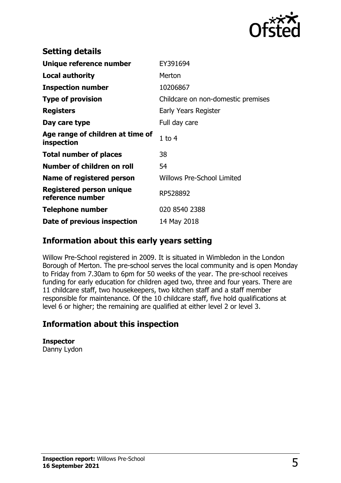

| <b>Setting details</b>                         |                                    |
|------------------------------------------------|------------------------------------|
| Unique reference number                        | EY391694                           |
| <b>Local authority</b>                         | Merton                             |
| <b>Inspection number</b>                       | 10206867                           |
| <b>Type of provision</b>                       | Childcare on non-domestic premises |
| <b>Registers</b>                               | Early Years Register               |
| Day care type                                  | Full day care                      |
| Age range of children at time of<br>inspection | $1$ to $4$                         |
| <b>Total number of places</b>                  | 38                                 |
| Number of children on roll                     | 54                                 |
| Name of registered person                      | <b>Willows Pre-School Limited</b>  |
| Registered person unique<br>reference number   | RP528892                           |
| <b>Telephone number</b>                        | 020 8540 2388                      |
| Date of previous inspection                    | 14 May 2018                        |

## **Information about this early years setting**

Willow Pre-School registered in 2009. It is situated in Wimbledon in the London Borough of Merton. The pre-school serves the local community and is open Monday to Friday from 7.30am to 6pm for 50 weeks of the year. The pre-school receives funding for early education for children aged two, three and four years. There are 11 childcare staff, two housekeepers, two kitchen staff and a staff member responsible for maintenance. Of the 10 childcare staff, five hold qualifications at level 6 or higher; the remaining are qualified at either level 2 or level 3.

## **Information about this inspection**

**Inspector** Danny Lydon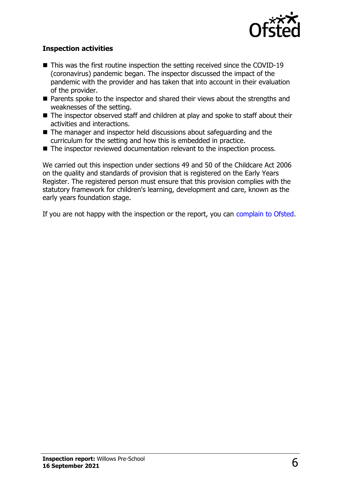

#### **Inspection activities**

- $\blacksquare$  This was the first routine inspection the setting received since the COVID-19 (coronavirus) pandemic began. The inspector discussed the impact of the pandemic with the provider and has taken that into account in their evaluation of the provider.
- $\blacksquare$  Parents spoke to the inspector and shared their views about the strengths and weaknesses of the setting.
- $\blacksquare$  The inspector observed staff and children at play and spoke to staff about their activities and interactions.
- $\blacksquare$  The manager and inspector held discussions about safeguarding and the curriculum for the setting and how this is embedded in practice.
- $\blacksquare$  The inspector reviewed documentation relevant to the inspection process.

We carried out this inspection under sections 49 and 50 of the Childcare Act 2006 on the quality and standards of provision that is registered on the Early Years Register. The registered person must ensure that this provision complies with the statutory framework for children's learning, development and care, known as the early years foundation stage.

If you are not happy with the inspection or the report, you can [complain to Ofsted](http://www.gov.uk/complain-ofsted-report).